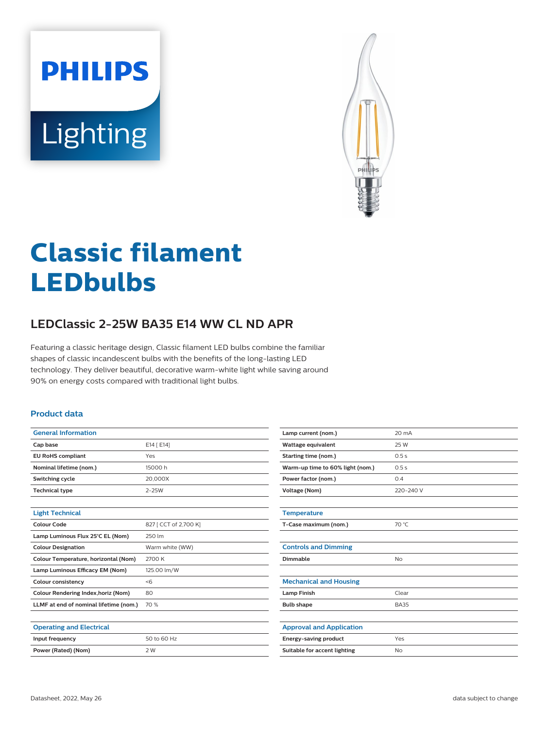



# **Classic filament LEDbulbs**

## **LEDClassic 2-25W BA35 E14 WW CL ND APR**

Featuring a classic heritage design, Classic filament LED bulbs combine the familiar shapes of classic incandescent bulbs with the benefits of the long-lasting LED technology. They deliver beautiful, decorative warm-white light while saving around 90% on energy costs compared with traditional light bulbs.

#### **Product data**

| <b>General Information</b>                 |                       |
|--------------------------------------------|-----------------------|
| Cap base                                   | E14 [ E14]            |
| <b>EU RoHS compliant</b>                   | Yes                   |
| Nominal lifetime (nom.)                    | 15000h                |
| Switching cycle                            | 20.000X               |
| <b>Technical type</b>                      | $2 - 25W$             |
|                                            |                       |
| <b>Light Technical</b>                     |                       |
| Colour Code                                | 827 [ CCT of 2,700 K] |
| Lamp Luminous Flux 25°C EL (Nom)           | 250 lm                |
| <b>Colour Designation</b>                  | Warm white (WW)       |
| Colour Temperature, horizontal (Nom)       | 2700 K                |
| Lamp Luminous Efficacy EM (Nom)            | 125.00 lm/W           |
| <b>Colour consistency</b>                  | < 6                   |
| <b>Colour Rendering Index, horiz (Nom)</b> | 80                    |
| LLMF at end of nominal lifetime (nom.)     | 70 %                  |
|                                            |                       |
| <b>Operating and Electrical</b>            |                       |
| Input frequency                            | 50 to 60 Hz           |
| Power (Rated) (Nom)                        | 2 W                   |
|                                            |                       |

| 20 mA       |
|-------------|
| 25 W        |
| 0.5s        |
| 0.5s        |
| 0.4         |
| 220-240 V   |
|             |
|             |
| 70 °C       |
|             |
|             |
| <b>No</b>   |
|             |
|             |
| Clear       |
| <b>BA35</b> |
|             |
|             |
| Yes         |
| No          |
|             |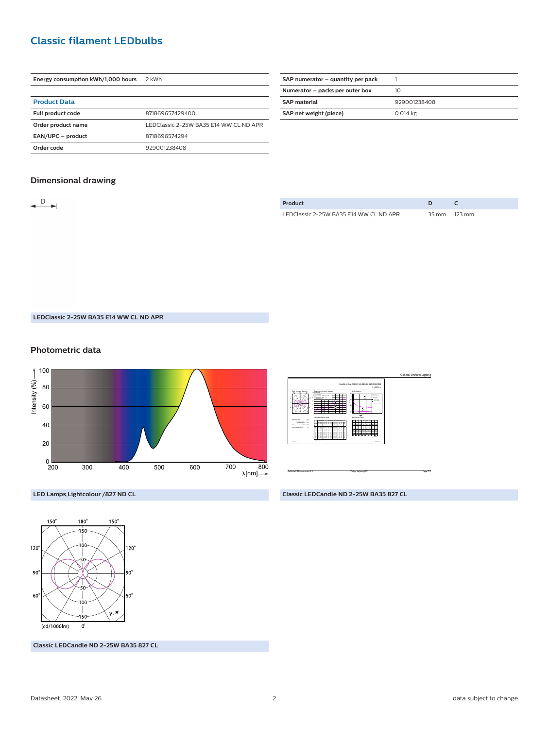## **Classic filament LEDbulbs**

| Energy consumption kWh/1,000 hours | 2 kWh                                  |
|------------------------------------|----------------------------------------|
|                                    |                                        |
| <b>Product Data</b>                |                                        |
| <b>Full product code</b>           | 871869657429400                        |
| Order product name                 | LEDClassic 2-25W BA35 F14 WW CL ND APR |
| EAN/UPC - product                  | 8718696574294                          |
| Order code                         | 929001238408                           |

| SAP numerator – quantity per pack |              |
|-----------------------------------|--------------|
| Numerator - packs per outer box   | 10           |
| <b>SAP</b> material               | 929001238408 |
| SAP net weight (piece)            | 0.014 kg     |
|                                   |              |

#### **Dimensional drawing**

| ► | Product                                |              |
|---|----------------------------------------|--------------|
|   | LEDClassic 2-25W BA35 E14 WW CL ND APR | 35 mm 123 mm |

**LEDClassic 2-25W BA35 E14 WW CL ND APR**

#### **Photometric data**





**Classic LEDCandle ND 2-25W BA35 827 CL**



**LED Lamps,Lightcolour /827 ND CL**

**Classic LEDCandle ND 2-25W BA35 827 CL**